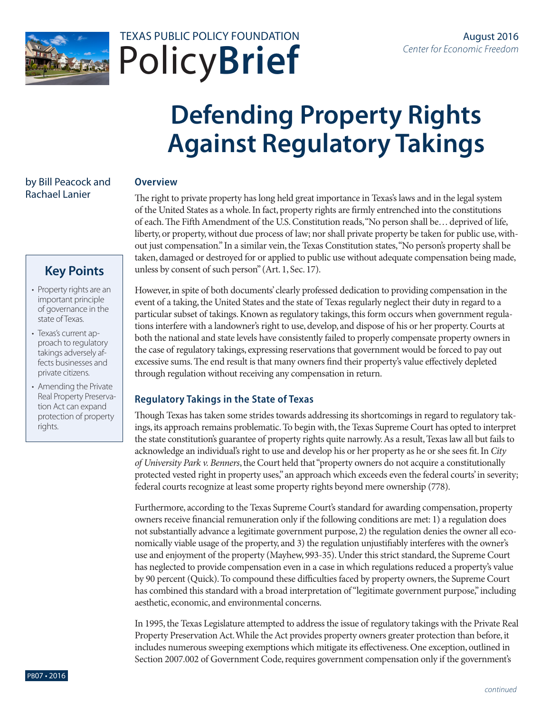



# **Defending Property Rights Against Regulatory Takings**

## by Bill Peacock and Rachael Lanier

#### **Overview**

The right to private property has long held great importance in Texas's laws and in the legal system of the United States as a whole. In fact, property rights are firmly entrenched into the constitutions of each. The Fifth Amendment of the U.S. Constitution reads, "No person shall be… deprived of life, liberty, or property, without due process of law; nor shall private property be taken for public use, without just compensation." In a similar vein, the Texas Constitution states, "No person's property shall be taken, damaged or destroyed for or applied to public use without adequate compensation being made, unless by consent of such person" (Art. 1, Sec. 17).

# **Key Points**

- Property rights are an important principle of governance in the state of Texas.
- Texas's current approach to regulatory takings adversely affects businesses and private citizens.
- Amending the Private Real Property Preservation Act can expand protection of property rights.

However, in spite of both documents' clearly professed dedication to providing compensation in the event of a taking, the United States and the state of Texas regularly neglect their duty in regard to a particular subset of takings. Known as regulatory takings, this form occurs when government regulations interfere with a landowner's right to use, develop, and dispose of his or her property. Courts at both the national and state levels have consistently failed to properly compensate property owners in the case of regulatory takings, expressing reservations that government would be forced to pay out excessive sums. The end result is that many owners find their property's value effectively depleted through regulation without receiving any compensation in return.

# **Regulatory Takings in the State of Texas**

Though Texas has taken some strides towards addressing its shortcomings in regard to regulatory takings, its approach remains problematic. To begin with, the Texas Supreme Court has opted to interpret the state constitution's guarantee of property rights quite narrowly. As a result, Texas law all but fails to acknowledge an individual's right to use and develop his or her property as he or she sees fit. In *City of University Park v. Benners*, the Court held that "property owners do not acquire a constitutionally protected vested right in property uses," an approach which exceeds even the federal courts' in severity; federal courts recognize at least some property rights beyond mere ownership (778).

Furthermore, according to the Texas Supreme Court's standard for awarding compensation, property owners receive financial remuneration only if the following conditions are met: 1) a regulation does not substantially advance a legitimate government purpose, 2) the regulation denies the owner all economically viable usage of the property, and 3) the regulation unjustifiably interferes with the owner's use and enjoyment of the property (Mayhew, 993-35). Under this strict standard, the Supreme Court has neglected to provide compensation even in a case in which regulations reduced a property's value by 90 percent (Quick). To compound these difficulties faced by property owners, the Supreme Court has combined this standard with a broad interpretation of "legitimate government purpose," including aesthetic, economic, and environmental concerns.

In 1995, the Texas Legislature attempted to address the issue of regulatory takings with the Private Real Property Preservation Act. While the Act provides property owners greater protection than before, it includes numerous sweeping exemptions which mitigate its effectiveness. One exception, outlined in Section 2007.002 of Government Code, requires government compensation only if the government's